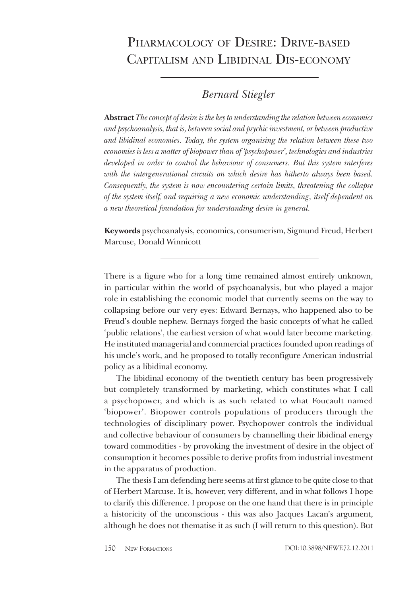## PHARMACOLOGY OF DESIRE: DRIVE-BASED CAPITALISM AND LIBIDINAL DIS-ECONOMY

## **Bernard Stiegler**

**Abstract** The concept of desire is the key to understanding the relation between economics and psychoanalysis, that is, between social and psychic investment, or between productive and libidinal economies. Today, the system organising the relation between these two economies is less a matter of biopower than of 'psychopower', technologies and industries developed in order to control the behaviour of consumers. But this system interferes with the intergenerational circuits on which desire has hitherto always been based. Consequently, the system is now encountering certain limits, threatening the collapse of the system itself, and requiring a new economic understanding, itself dependent on a new theoretical foundation for understanding desire in general.

Keywords psychoanalysis, economics, consumerism, Sigmund Freud, Herbert Marcuse, Donald Winnicott

There is a figure who for a long time remained almost entirely unknown, in particular within the world of psychoanalysis, but who played a major role in establishing the economic model that currently seems on the way to collapsing before our very eyes: Edward Bernays, who happened also to be Freud's double nephew. Bernays forged the basic concepts of what he called 'public relations', the earliest version of what would later become marketing. He instituted managerial and commercial practices founded upon readings of his uncle's work, and he proposed to totally reconfigure American industrial policy as a libidinal economy.

The libidinal economy of the twentieth century has been progressively but completely transformed by marketing, which constitutes what I call a psychopower, and which is as such related to what Foucault named 'biopower'. Biopower controls populations of producers through the technologies of disciplinary power. Psychopower controls the individual and collective behaviour of consumers by channelling their libidinal energy toward commodities - by provoking the investment of desire in the object of consumption it becomes possible to derive profits from industrial investment in the apparatus of production.

The thesis I am defending here seems at first glance to be quite close to that of Herbert Marcuse. It is, however, very different, and in what follows I hope to clarify this difference. I propose on the one hand that there is in principle a historicity of the unconscious - this was also Jacques Lacan's argument, although he does not thematise it as such (I will return to this question). But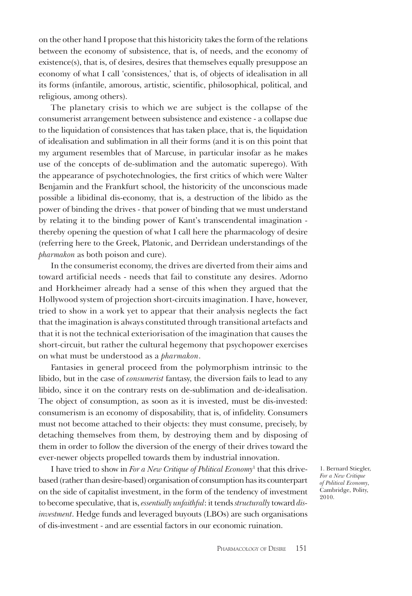on the other hand I propose that this historicity takes the form of the relations between the economy of subsistence, that is, of needs, and the economy of existence(s), that is, of desires, desires that themselves equally presuppose an economy of what I call 'consistences,' that is, of objects of idealisation in all its forms (infantile, amorous, artistic, scientific, philosophical, political, and religious, among others).

The planetary crisis to which we are subject is the collapse of the consumerist arrangement between subsistence and existence - a collapse due to the liquidation of consistences that has taken place, that is, the liquidation of idealisation and sublimation in all their forms (and it is on this point that my argument resembles that of Marcuse, in particular insofar as he makes use of the concepts of de-sublimation and the automatic superego). With the appearance of psychotechnologies, the first critics of which were Walter Benjamin and the Frankfurt school, the historicity of the unconscious made possible a libidinal dis-economy, that is, a destruction of the libido as the power of binding the drives - that power of binding that we must understand by relating it to the binding power of Kant's transcendental imagination thereby opening the question of what I call here the pharmacology of desire (referring here to the Greek, Platonic, and Derridean understandings of the pharmakon as both poison and cure).

In the consumerist economy, the drives are diverted from their aims and toward artificial needs - needs that fail to constitute any desires. Adorno and Horkheimer already had a sense of this when they argued that the Hollywood system of projection short-circuits imagination. I have, however, tried to show in a work yet to appear that their analysis neglects the fact that the imagination is always constituted through transitional artefacts and that it is not the technical exteriorisation of the imagination that causes the short-circuit, but rather the cultural hegemony that psychopower exercises on what must be understood as a *pharmakon*.

Fantasies in general proceed from the polymorphism intrinsic to the libido, but in the case of *consumerist* fantasy, the diversion fails to lead to any libido, since it on the contrary rests on de-sublimation and de-idealisation. The object of consumption, as soon as it is invested, must be dis-invested: consumerism is an economy of disposability, that is, of infidelity. Consumers must not become attached to their objects: they must consume, precisely, by detaching themselves from them, by destroying them and by disposing of them in order to follow the diversion of the energy of their drives toward the ever-newer objects propelled towards them by industrial innovation.

I have tried to show in For a New Critique of Political Economy<sup>1</sup> that this drivebased (rather than desire-based) organisation of consumption has its counterpart on the side of capitalist investment, in the form of the tendency of investment to become speculative, that is, essentially unfaithful: it tends structurally toward disinvestment. Hedge funds and leveraged buyouts (LBOs) are such organisations of dis-investment - and are essential factors in our economic ruination.

1. Bernard Stiegler, For a New Critique of Political Economy, Cambridge, Polity, 2010.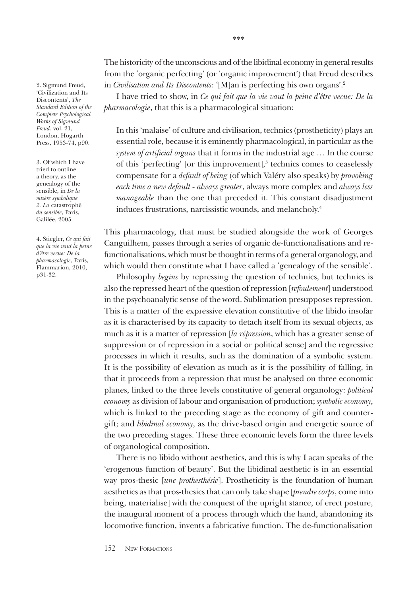2. Sigmund Freud, 'Civilization and Its Discontents', The Standard Edition of the Complete Psychological Works of Sigmund Freud, vol. 21, London, Hogarth Press, 1953-74, p90.

3. Of which I have tried to outline a theory, as the genealogy of the sensible, in De la misère symbolique 2. La catastrophè du sensible, Paris, Galilée, 2005.

4. Stiegler, Ce qui fait que la vie vaut la peine d'être vecue: De la pharmacologie, Paris, Flammarion, 2010, p31-32.

The historicity of the unconscious and of the libidinal economy in general results from the 'organic perfecting' (or 'organic improvement') that Freud describes in Civilisation and Its Discontents: '[M]an is perfecting his own organs'.<sup>2</sup>

I have tried to show, in Ce qui fait que la vie vaut la peine d'être vecue: De la *pharmacologie*, that this is a pharmacological situation:

In this 'malaise' of culture and civilisation, technics (prostheticity) plays an essential role, because it is eminently pharmacological, in particular as the system of artificial organs that it forms in the industrial age ... In the course of this 'perfecting' [or this improvement],<sup>3</sup> technics comes to ceaselessly compensate for a *default of being* (of which Valéry also speaks) by *provoking* each time a new default - always greater, always more complex and always less manageable than the one that preceded it. This constant disadjustment induces frustrations, narcissistic wounds, and melancholy.<sup>4</sup>

This pharmacology, that must be studied alongside the work of Georges Canguilhem, passes through a series of organic de-functionalisations and refunctionalisations, which must be thought in terms of a general organology, and which would then constitute what I have called a 'genealogy of the sensible'.

Philosophy begins by repressing the question of technics, but technics is also the repressed heart of the question of repression [refoulement] understood in the psychoanalytic sense of the word. Sublimation presupposes repression. This is a matter of the expressive elevation constitutive of the libido insofar as it is characterised by its capacity to detach itself from its sexual objects, as much as it is a matter of repression [la répression, which has a greater sense of suppression or of repression in a social or political sense] and the regressive processes in which it results, such as the domination of a symbolic system. It is the possibility of elevation as much as it is the possibility of falling, in that it proceeds from a repression that must be analysed on three economic planes, linked to the three levels constitutive of general organology: *political* economy as division of labour and organisation of production; symbolic economy, which is linked to the preceding stage as the economy of gift and countergift; and libidinal economy, as the drive-based origin and energetic source of the two preceding stages. These three economic levels form the three levels of organological composition.

There is no libido without aesthetics, and this is why Lacan speaks of the 'erogenous function of beauty'. But the libidinal aesthetic is in an essential way pros-thesic [une prothesthésie]. Prostheticity is the foundation of human aesthetics as that pros-thesics that can only take shape [*prendre corps*, come into being, materialise] with the conquest of the upright stance, of erect posture, the inaugural moment of a process through which the hand, abandoning its locomotive function, invents a fabricative function. The de-functionalisation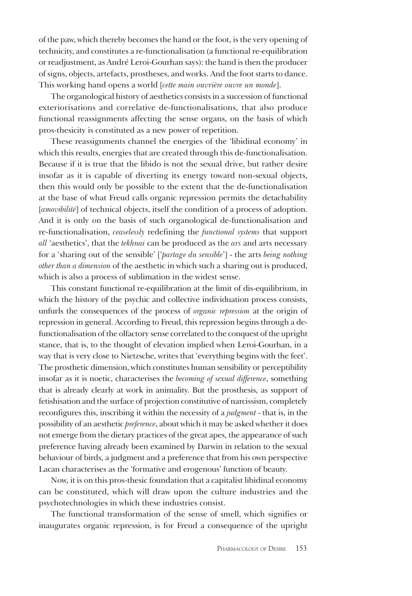of the paw, which thereby becomes the hand or the foot, is the very opening of technicity, and constitutes a re-functionalisation (a functional re-equilibration or readjustment, as André Leroi-Gourhan says): the hand is then the producer of signs, objects, artefacts, prostheses, and works. And the foot starts to dance. This working hand opens a world [cette main ouvrière ouvre un monde].

The organological history of aesthetics consists in a succession of functional exteriorisations and correlative de-functionalisations, that also produce functional reassignments affecting the sense organs, on the basis of which pros-thesicity is constituted as a new power of repetition.

These reassignments channel the energies of the 'libidinal economy' in which this results, energies that are created through this de-functionalisation. Because if it is true that the libido is not the sexual drive, but rather desire insofar as it is capable of diverting its energy toward non-sexual objects, then this would only be possible to the extent that the de-functionalisation at the base of what Freud calls organic repression permits the detachability [amovibilité] of technical objects, itself the condition of a process of adoption. And it is only on the basis of such organological de-functionalisation and re-functionalisation, ceaselessly redefining the functional systems that support all 'aesthetics', that the tekhnai can be produced as the ars and arts necessary for a 'sharing out of the sensible' ['partage du sensible'] - the arts being nothing other than a dimension of the aesthetic in which such a sharing out is produced, which is also a process of sublimation in the widest sense.

This constant functional re-equilibration at the limit of dis-equilibrium, in which the history of the psychic and collective individuation process consists, unfurls the consequences of the process of *organic repression* at the origin of repression in general. According to Freud, this repression begins through a defunctionalisation of the olfactory sense correlated to the conquest of the upright stance, that is, to the thought of elevation implied when Leroi-Gourhan, in a way that is very close to Nietzsche, writes that 'everything begins with the feet'. The prosthetic dimension, which constitutes human sensibility or perceptibility insofar as it is noetic, characterises the becoming of sexual difference, something that is already clearly at work in animality. But the prosthesis, as support of fetishisation and the surface of projection constitutive of narcissism, completely reconfigures this, inscribing it within the necessity of a *judgment* - that is, in the possibility of an aesthetic *preference*, about which it may be asked whether it does not emerge from the dietary practices of the great apes, the appearance of such preference having already been examined by Darwin in relation to the sexual behaviour of birds, a judgment and a preference that from his own perspective Lacan characterises as the 'formative and erogenous' function of beauty.

Now, it is on this pros-thesic foundation that a capitalist libidinal economy can be constituted, which will draw upon the culture industries and the psychotechnologies in which these industries consist.

The functional transformation of the sense of smell, which signifies or inaugurates organic repression, is for Freud a consequence of the upright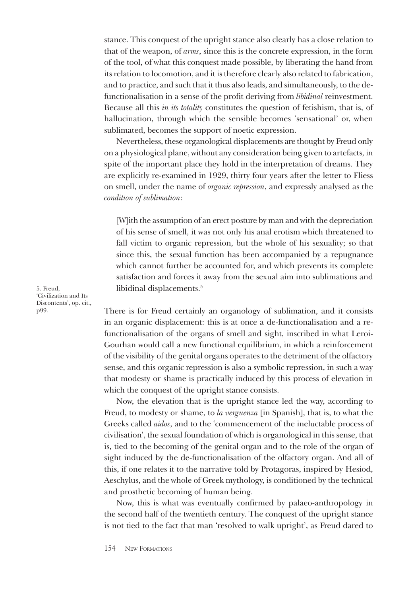stance. This conquest of the upright stance also clearly has a close relation to that of the weapon, of *arms*, since this is the concrete expression, in the form of the tool, of what this conquest made possible, by liberating the hand from its relation to locomotion, and it is therefore clearly also related to fabrication, and to practice, and such that it thus also leads, and simultaneously, to the defunctionalisation in a sense of the profit deriving from libidinal reinvestment. Because all this *in its totality* constitutes the question of fetishism, that is, of hallucination, through which the sensible becomes 'sensational' or, when sublimated, becomes the support of noetic expression.

Nevertheless, these organological displacements are thought by Freud only on a physiological plane, without any consideration being given to artefacts, in spite of the important place they hold in the interpretation of dreams. They are explicitly re-examined in 1929, thirty four years after the letter to Fliess on smell, under the name of organic repression, and expressly analysed as the condition of sublimation:

[W]ith the assumption of an erect posture by man and with the depreciation of his sense of smell, it was not only his anal erotism which threatened to fall victim to organic repression, but the whole of his sexuality; so that since this, the sexual function has been accompanied by a repugnance which cannot further be accounted for, and which prevents its complete satisfaction and forces it away from the sexual aim into sublimations and libidinal displacements.<sup>5</sup>

There is for Freud certainly an organology of sublimation, and it consists in an organic displacement: this is at once a de-functionalisation and a refunctionalisation of the organs of smell and sight, inscribed in what Leroi-Gourhan would call a new functional equilibrium, in which a reinforcement of the visibility of the genital organs operates to the detriment of the olfactory sense, and this organic repression is also a symbolic repression, in such a way that modesty or shame is practically induced by this process of elevation in which the conquest of the upright stance consists.

Now, the elevation that is the upright stance led the way, according to Freud, to modesty or shame, to la verguenza [in Spanish], that is, to what the Greeks called *aidos*, and to the 'commencement of the ineluctable process of civilisation', the sexual foundation of which is organological in this sense, that is, tied to the becoming of the genital organ and to the role of the organ of sight induced by the de-functionalisation of the olfactory organ. And all of this, if one relates it to the narrative told by Protagoras, inspired by Hesiod, Aeschylus, and the whole of Greek mythology, is conditioned by the technical and prosthetic becoming of human being.

Now, this is what was eventually confirmed by palaeo-anthropology in the second half of the twentieth century. The conquest of the upright stance is not tied to the fact that man 'resolved to walk upright', as Freud dared to

5. Freud. 'Civilization and Its Discontents', op. cit., p99.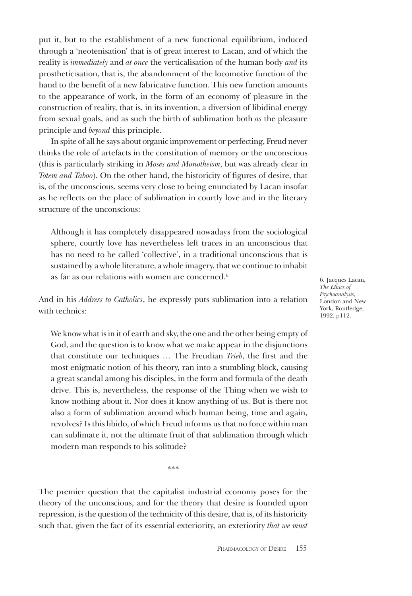put it, but to the establishment of a new functional equilibrium, induced through a 'neotenisation' that is of great interest to Lacan, and of which the reality is *immediately* and *at once* the vertical sation of the human body *and* its prostheticisation, that is, the abandonment of the locomotive function of the hand to the benefit of a new fabricative function. This new function amounts to the appearance of work, in the form of an economy of pleasure in the construction of reality, that is, in its invention, a diversion of libidinal energy from sexual goals, and as such the birth of sublimation both as the pleasure principle and *beyond* this principle.

In spite of all he says about organic improvement or perfecting, Freud never thinks the role of artefacts in the constitution of memory or the unconscious (this is particularly striking in Moses and Monotheism, but was already clear in *Totem and Taboo*). On the other hand, the historicity of figures of desire, that is, of the unconscious, seems very close to being enunciated by Lacan insofar as he reflects on the place of sublimation in courtly love and in the literary structure of the unconscious:

Although it has completely disappeared nowadays from the sociological sphere, courtly love has nevertheless left traces in an unconscious that has no need to be called 'collective', in a traditional unconscious that is sustained by a whole literature, a whole imagery, that we continue to inhabit as far as our relations with women are concerned.<sup>6</sup>

6. Jacques Lacan, The Ethics of Psychoanalysis, London and New York, Routledge, 1992, p112.

And in his *Address to Catholics*, he expressly puts sublimation into a relation with technics<sup>.</sup>

We know what is in it of earth and sky, the one and the other being empty of God, and the question is to know what we make appear in the disjunctions that constitute our techniques ... The Freudian Trieb, the first and the most enigmatic notion of his theory, ran into a stumbling block, causing a great scandal among his disciples, in the form and formula of the death drive. This is, nevertheless, the response of the Thing when we wish to know nothing about it. Nor does it know anything of us. But is there not also a form of sublimation around which human being, time and again, revolves? Is this libido, of which Freud informs us that no force within man can sublimate it, not the ultimate fruit of that sublimation through which modern man responds to his solitude?

\*\*\*

The premier question that the capitalist industrial economy poses for the theory of the unconscious, and for the theory that desire is founded upon repression, is the question of the technicity of this desire, that is, of its historicity such that, given the fact of its essential exteriority, an exteriority that we must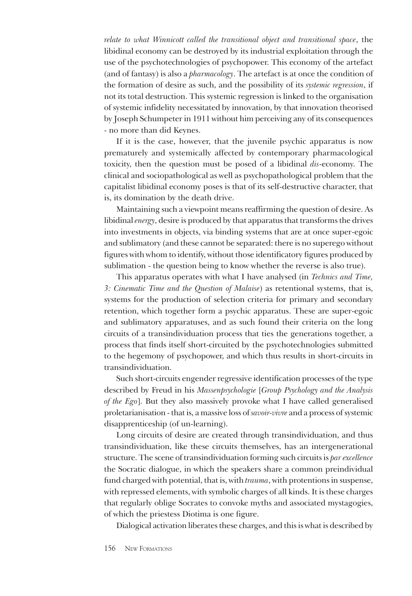relate to what Winnicott called the transitional object and transitional space, the libidinal economy can be destroyed by its industrial exploitation through the use of the psychotechnologies of psychopower. This economy of the artefact (and of fantasy) is also a *pharmacology*. The artefact is at once the condition of the formation of desire as such, and the possibility of its systemic regression, if not its total destruction. This systemic regression is linked to the organisation of systemic infidelity necessitated by innovation, by that innovation theorised by Joseph Schumpeter in 1911 without him perceiving any of its consequences - no more than did Keynes.

If it is the case, however, that the juvenile psychic apparatus is now prematurely and systemically affected by contemporary pharmacological toxicity, then the question must be posed of a libidinal dis-economy. The clinical and sociopathological as well as psychopathological problem that the capitalist libidinal economy poses is that of its self-destructive character, that is, its domination by the death drive.

Maintaining such a viewpoint means reaffirming the question of desire. As libidinal energy, desire is produced by that apparatus that transforms the drives into investments in objects, via binding systems that are at once super-egoic and sublimatory (and these cannot be separated: there is no superego without figures with whom to identify, without those identificatory figures produced by sublimation - the question being to know whether the reverse is also true).

This apparatus operates with what I have analysed (in Technics and Time, 3: Cinematic Time and the Question of Malaise) as retentional systems, that is, systems for the production of selection criteria for primary and secondary retention, which together form a psychic apparatus. These are super-egoic and sublimatory apparatuses, and as such found their criteria on the long circuits of a transindividuation process that ties the generations together, a process that finds itself short-circuited by the psychotechnologies submitted to the hegemony of psychopower, and which thus results in short-circuits in transindividuation.

Such short-circuits engender regressive identification processes of the type described by Freud in his Massenpsychologie [Group Psychology and the Analysis of the Ego]. But they also massively provoke what I have called generalised proletarianisation - that is, a massive loss of savoir-vivre and a process of systemic disapprenticeship (of un-learning).

Long circuits of desire are created through transindividuation, and thus transindividuation, like these circuits themselves, has an intergenerational structure. The scene of transindividuation forming such circuits is par excellence the Socratic dialogue, in which the speakers share a common preindividual fund charged with potential, that is, with *trauma*, with protentions in suspense, with repressed elements, with symbolic charges of all kinds. It is these charges that regularly oblige Socrates to convoke myths and associated mystagogies, of which the priestess Diotima is one figure.

Dialogical activation liberates these charges, and this is what is described by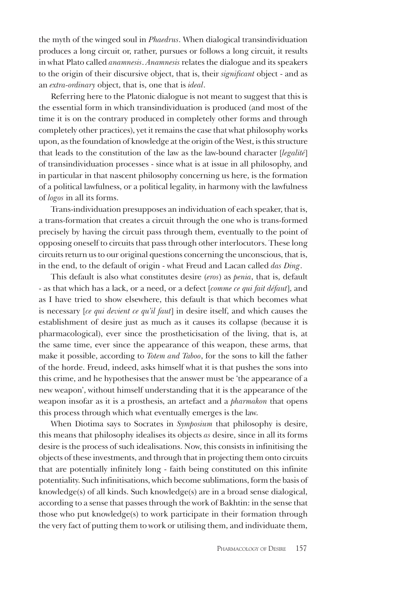the myth of the winged soul in *Phaedrus*. When dialogical transindividuation produces a long circuit or, rather, pursues or follows a long circuit, it results in what Plato called *anamnesis. Anamnesis* relates the dialogue and its speakers to the origin of their discursive object, that is, their significant object - and as an extra-ordinary object, that is, one that is ideal.

Referring here to the Platonic dialogue is not meant to suggest that this is the essential form in which transindividuation is produced (and most of the time it is on the contrary produced in completely other forms and through completely other practices), yet it remains the case that what philosophy works upon, as the foundation of knowledge at the origin of the West, is this structure that leads to the constitution of the law as the law-bound character [legalité] of transindividuation processes - since what is at issue in all philosophy, and in particular in that nascent philosophy concerning us here, is the formation of a political lawfulness, or a political legality, in harmony with the lawfulness of *logos* in all its forms.

Trans-individuation presupposes an individuation of each speaker, that is, a trans-formation that creates a circuit through the one who is trans-formed precisely by having the circuit pass through them, eventually to the point of opposing oneself to circuits that pass through other interlocutors. These long circuits return us to our original questions concerning the unconscious, that is, in the end, to the default of origin - what Freud and Lacan called das Ding.

This default is also what constitutes desire (eros) as penia, that is, default - as that which has a lack, or a need, or a defect [comme ce qui fait défaut], and as I have tried to show elsewhere, this default is that which becomes what is necessary [ce qui devient ce qu'il faut] in desire itself, and which causes the establishment of desire just as much as it causes its collapse (because it is pharmacological), ever since the prostheticisation of the living, that is, at the same time, ever since the appearance of this weapon, these arms, that make it possible, according to Totem and Taboo, for the sons to kill the father of the horde. Freud, indeed, asks himself what it is that pushes the sons into this crime, and he hypothesises that the answer must be 'the appearance of a new weapon', without himself understanding that it is the appearance of the weapon insofar as it is a prosthesis, an artefact and a *pharmakon* that opens this process through which what eventually emerges is the law.

When Diotima says to Socrates in Symposium that philosophy is desire, this means that philosophy idealises its objects as desire, since in all its forms desire is the process of such idealisations. Now, this consists in infinitising the objects of these investments, and through that in projecting them onto circuits that are potentially infinitely long - faith being constituted on this infinite potentiality. Such infinitisations, which become sublimations, form the basis of knowledge(s) of all kinds. Such knowledge(s) are in a broad sense dialogical, according to a sense that passes through the work of Bakhtin: in the sense that those who put knowledge(s) to work participate in their formation through the very fact of putting them to work or utilising them, and individuate them,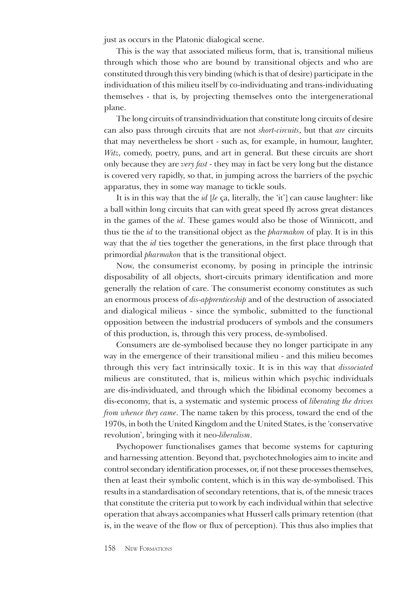just as occurs in the Platonic dialogical scene.

This is the way that associated milieus form, that is, transitional milieus through which those who are bound by transitional objects and who are constituted through this very binding (which is that of desire) participate in the individuation of this milieu itself by co-individuating and trans-individuating themselves - that is, by projecting themselves onto the intergenerational plane.

The long circuits of transindividuation that constitute long circuits of desire can also pass through circuits that are not short-circuits, but that are circuits that may nevertheless be short - such as, for example, in humour, laughter, Witz, comedy, poetry, puns, and art in general. But these circuits are short only because they are very fast - they may in fact be very long but the distance is covered very rapidly, so that, in jumping across the barriers of the psychic apparatus, they in some way manage to tickle souls.

It is in this way that the  $id$  [le ca, literally, the 'it'] can cause laughter: like a ball within long circuits that can with great speed fly across great distances in the games of the *id*. These games would also be those of Winnicott, and thus tie the *id* to the transitional object as the *pharmakon* of play. It is in this way that the *id* ties together the generations, in the first place through that primordial *pharmakon* that is the transitional object.

Now, the consumerist economy, by posing in principle the intrinsic disposability of all objects, short-circuits primary identification and more generally the relation of care. The consumerist economy constitutes as such an enormous process of *dis-apprenticeship* and of the destruction of associated and dialogical milieus - since the symbolic, submitted to the functional opposition between the industrial producers of symbols and the consumers of this production, is, through this very process, de-symbolised.

Consumers are de-symbolised because they no longer participate in any way in the emergence of their transitional milieu - and this milieu becomes through this very fact intrinsically toxic. It is in this way that dissociated milieus are constituted, that is, milieus within which psychic individuals are dis-individuated, and through which the libidinal economy becomes a dis-economy, that is, a systematic and systemic process of liberating the drives from whence they came. The name taken by this process, toward the end of the 1970s, in both the United Kingdom and the United States, is the 'conservative revolution', bringing with it neo-liberalism.

Psychopower functionalises games that become systems for capturing and harnessing attention. Beyond that, psychotechnologies aim to incite and control secondary identification processes, or, if not these processes themselves, then at least their symbolic content, which is in this way de-symbolised. This results in a standardisation of secondary retentions, that is, of the mnesic traces that constitute the criteria put to work by each individual within that selective operation that always accompanies what Husserl calls primary retention (that is, in the weave of the flow or flux of perception). This thus also implies that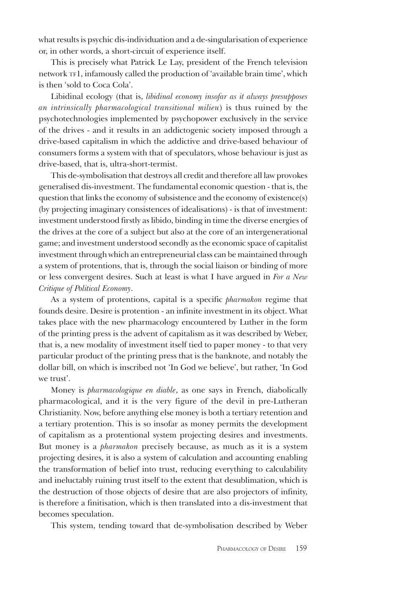what results is psychic dis-individuation and a de-singularisation of experience or, in other words, a short-circuit of experience itself.

This is precisely what Patrick Le Lay, president of the French television network TF1, infamously called the production of 'available brain time', which is then 'sold to Coca Cola'.

Libidinal ecology (that is, libidinal economy insofar as it always presupposes an intrinsically pharmacological transitional milieu) is thus ruined by the psychotechnologies implemented by psychopower exclusively in the service of the drives - and it results in an addictogenic society imposed through a drive-based capitalism in which the addictive and drive-based behaviour of consumers forms a system with that of speculators, whose behaviour is just as drive-based, that is, ultra-short-termist.

This de-symbolisation that destroys all credit and therefore all law provokes generalised dis-investment. The fundamental economic question - that is, the question that links the economy of subsistence and the economy of existence(s) (by projecting imaginary consistences of idealisations) - is that of investment: investment understood firstly as libido, binding in time the diverse energies of the drives at the core of a subject but also at the core of an intergenerational game; and investment understood secondly as the economic space of capitalist investment through which an entrepreneurial class can be maintained through a system of protentions, that is, through the social liaison or binding of more or less convergent desires. Such at least is what I have argued in For a New Critique of Political Economy.

As a system of protentions, capital is a specific *pharmakon* regime that founds desire. Desire is protention - an infinite investment in its object. What takes place with the new pharmacology encountered by Luther in the form of the printing press is the advent of capitalism as it was described by Weber, that is, a new modality of investment itself tied to paper money - to that very particular product of the printing press that is the banknote, and notably the dollar bill, on which is inscribed not 'In God we believe', but rather, 'In God we trust'.

Money is *pharmacologique en diable*, as one says in French, diabolically pharmacological, and it is the very figure of the devil in pre-Lutheran Christianity. Now, before anything else money is both a tertiary retention and a tertiary protention. This is so insofar as money permits the development of capitalism as a protentional system projecting desires and investments. But money is a *pharmakon* precisely because, as much as it is a system projecting desires, it is also a system of calculation and accounting enabling the transformation of belief into trust, reducing everything to calculability and ineluctably ruining trust itself to the extent that desublimation, which is the destruction of those objects of desire that are also projectors of infinity, is therefore a finitisation, which is then translated into a dis-investment that becomes speculation.

This system, tending toward that de-symbolisation described by Weber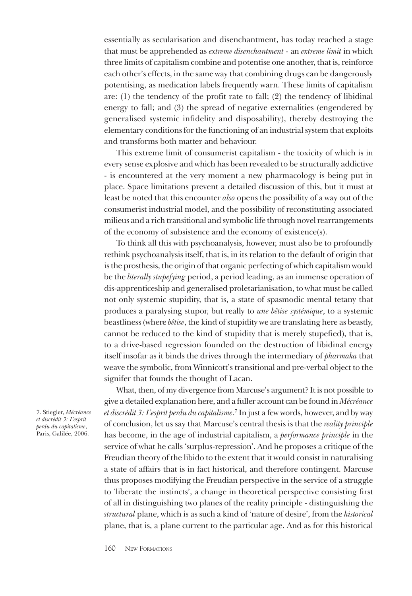essentially as secularisation and disenchantment, has today reached a stage that must be apprehended as extreme disenchantment - an extreme limit in which three limits of capitalism combine and potentise one another, that is, reinforce each other's effects, in the same way that combining drugs can be dangerously potentising, as medication labels frequently warn. These limits of capitalism are:  $(1)$  the tendency of the profit rate to fall;  $(2)$  the tendency of libidinal energy to fall; and (3) the spread of negative externalities (engendered by generalised systemic infidelity and disposability), thereby destroying the elementary conditions for the functioning of an industrial system that exploits and transforms both matter and behaviour.

This extreme limit of consumerist capitalism - the toxicity of which is in every sense explosive and which has been revealed to be structurally addictive - is encountered at the very moment a new pharmacology is being put in place. Space limitations prevent a detailed discussion of this, but it must at least be noted that this encounter also opens the possibility of a way out of the consumerist industrial model, and the possibility of reconstituting associated milieus and a rich transitional and symbolic life through novel rearrangements of the economy of subsistence and the economy of existence(s).

To think all this with psychoanalysis, however, must also be to profoundly rethink psychoanalysis itself, that is, in its relation to the default of origin that is the prosthesis, the origin of that organic perfecting of which capitalism would be the literally stupefying period, a period leading, as an immense operation of dis-apprenticeship and generalised proletarianisation, to what must be called not only systemic stupidity, that is, a state of spasmodic mental tetany that produces a paralysing stupor, but really to une bêtise systémique, to a systemic beastliness (where *bêtise*, the kind of stupidity we are translating here as beastly, cannot be reduced to the kind of stupidity that is merely stupefied), that is, to a drive-based regression founded on the destruction of libidinal energy itself insofar as it binds the drives through the intermediary of *pharmaka* that weave the symbolic, from Winnicott's transitional and pre-verbal object to the signifer that founds the thought of Lacan.

What, then, of my divergence from Marcuse's argument? It is not possible to give a detailed explanation here, and a fuller account can be found in Mécréance et discrédit 3: L'esprit perdu du capitalisme.<sup>7</sup> In just a few words, however, and by way of conclusion, let us say that Marcuse's central thesis is that the reality principle has become, in the age of industrial capitalism, a *performance principle* in the service of what he calls 'surplus-repression'. And he proposes a critique of the Freudian theory of the libido to the extent that it would consist in naturalising a state of affairs that is in fact historical, and therefore contingent. Marcuse thus proposes modifying the Freudian perspective in the service of a struggle to 'liberate the instincts', a change in theoretical perspective consisting first of all in distinguishing two planes of the reality principle - distinguishing the structural plane, which is as such a kind of 'nature of desire', from the historical plane, that is, a plane current to the particular age. And as for this historical

7. Stiegler, Mécréance et discrédit 3: Lesprit perdu du capitalisme, Paris, Galilée, 2006.